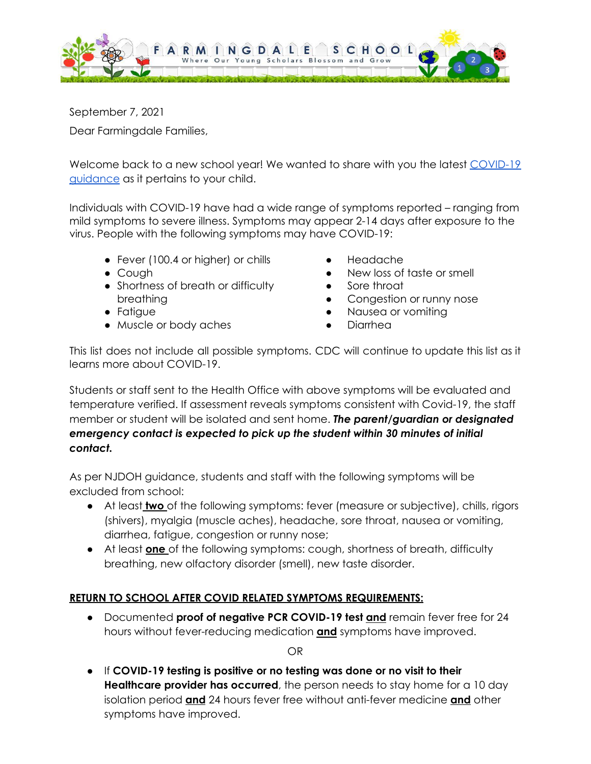

September 7, 2021 Dear Farmingdale Families,

Welcome back to a new school year! We wanted to share with you the latest [COVID-19](https://www.nj.gov/education/roadforward/docs/HealthAndSafetyGuidanceSY2122.pdf) [guidance](https://www.nj.gov/education/roadforward/docs/HealthAndSafetyGuidanceSY2122.pdf) as it pertains to your child.

Individuals with COVID-19 have had a wide range of symptoms reported – ranging from mild symptoms to severe illness. Symptoms may appear 2-14 days after exposure to the virus. People with the following symptoms may have COVID-19:

- Fever (100.4 or higher) or chills
- Cough
- Shortness of breath or difficulty breathing
- Fatigue
- Muscle or body aches
- **Headache**
- New loss of taste or smell
- Sore throat
- Congestion or runny nose
- Nausea or vomiting
- **Diarrhea**

This list does not include all possible symptoms. CDC will continue to update this list as it learns more about COVID-19.

Students or staff sent to the Health Office with above symptoms will be evaluated and temperature verified. If assessment reveals symptoms consistent with Covid-19, the staff member or student will be isolated and sent home. *The parent/guardian or designated emergency contact is expected to pick up the student within 30 minutes of initial contact.*

As per NJDOH guidance, students and staff with the following symptoms will be excluded from school:

- At least **two** of the following symptoms: fever (measure or subjective), chills, rigors (shivers), myalgia (muscle aches), headache, sore throat, nausea or vomiting, diarrhea, fatigue, congestion or runny nose;
- At least **one** of the following symptoms: cough, shortness of breath, difficulty breathing, new olfactory disorder (smell), new taste disorder.

## **RETURN TO SCHOOL AFTER COVID RELATED SYMPTOMS REQUIREMENTS:**

● Documented **proof of negative PCR COVID-19 test and** remain fever free for 24 hours without fever-reducing medication **and** symptoms have improved.

OR

● If **COVID-19 testing is positive or no testing was done or no visit to their Healthcare provider has occurred**, the person needs to stay home for a 10 day isolation period **and** 24 hours fever free without anti-fever medicine **and** other symptoms have improved.